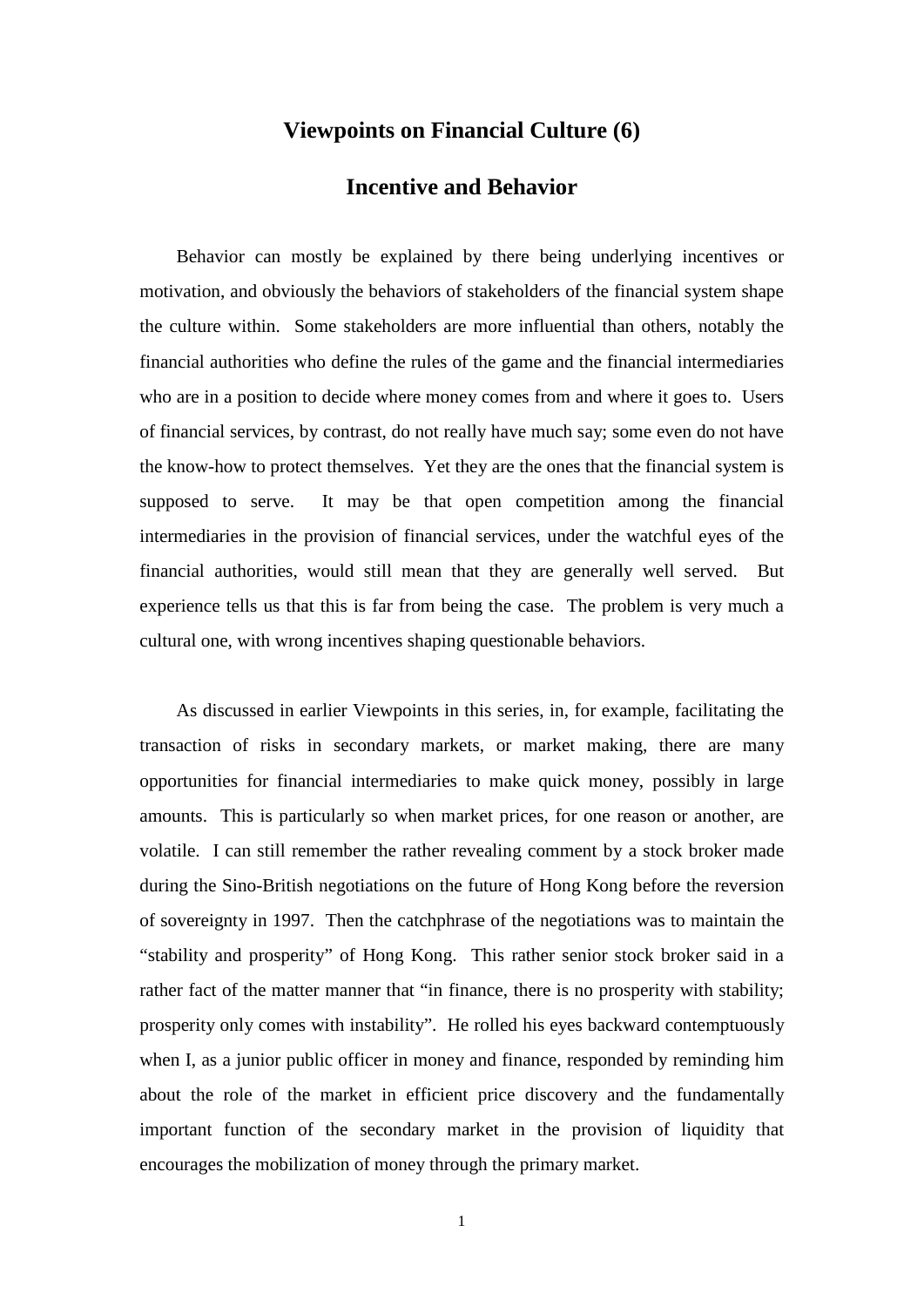## **Viewpoints on Financial Culture (6)**

## **Incentive and Behavior**

Behavior can mostly be explained by there being underlying incentives or motivation, and obviously the behaviors of stakeholders of the financial system shape the culture within. Some stakeholders are more influential than others, notably the financial authorities who define the rules of the game and the financial intermediaries who are in a position to decide where money comes from and where it goes to. Users of financial services, by contrast, do not really have much say; some even do not have the know-how to protect themselves. Yet they are the ones that the financial system is supposed to serve. It may be that open competition among the financial intermediaries in the provision of financial services, under the watchful eyes of the financial authorities, would still mean that they are generally well served. But experience tells us that this is far from being the case. The problem is very much a cultural one, with wrong incentives shaping questionable behaviors.

As discussed in earlier Viewpoints in this series, in, for example, facilitating the transaction of risks in secondary markets, or market making, there are many opportunities for financial intermediaries to make quick money, possibly in large amounts. This is particularly so when market prices, for one reason or another, are volatile. I can still remember the rather revealing comment by a stock broker made during the Sino-British negotiations on the future of Hong Kong before the reversion of sovereignty in 1997. Then the catchphrase of the negotiations was to maintain the "stability and prosperity" of Hong Kong. This rather senior stock broker said in a rather fact of the matter manner that "in finance, there is no prosperity with stability; prosperity only comes with instability". He rolled his eyes backward contemptuously when I, as a junior public officer in money and finance, responded by reminding him about the role of the market in efficient price discovery and the fundamentally important function of the secondary market in the provision of liquidity that encourages the mobilization of money through the primary market.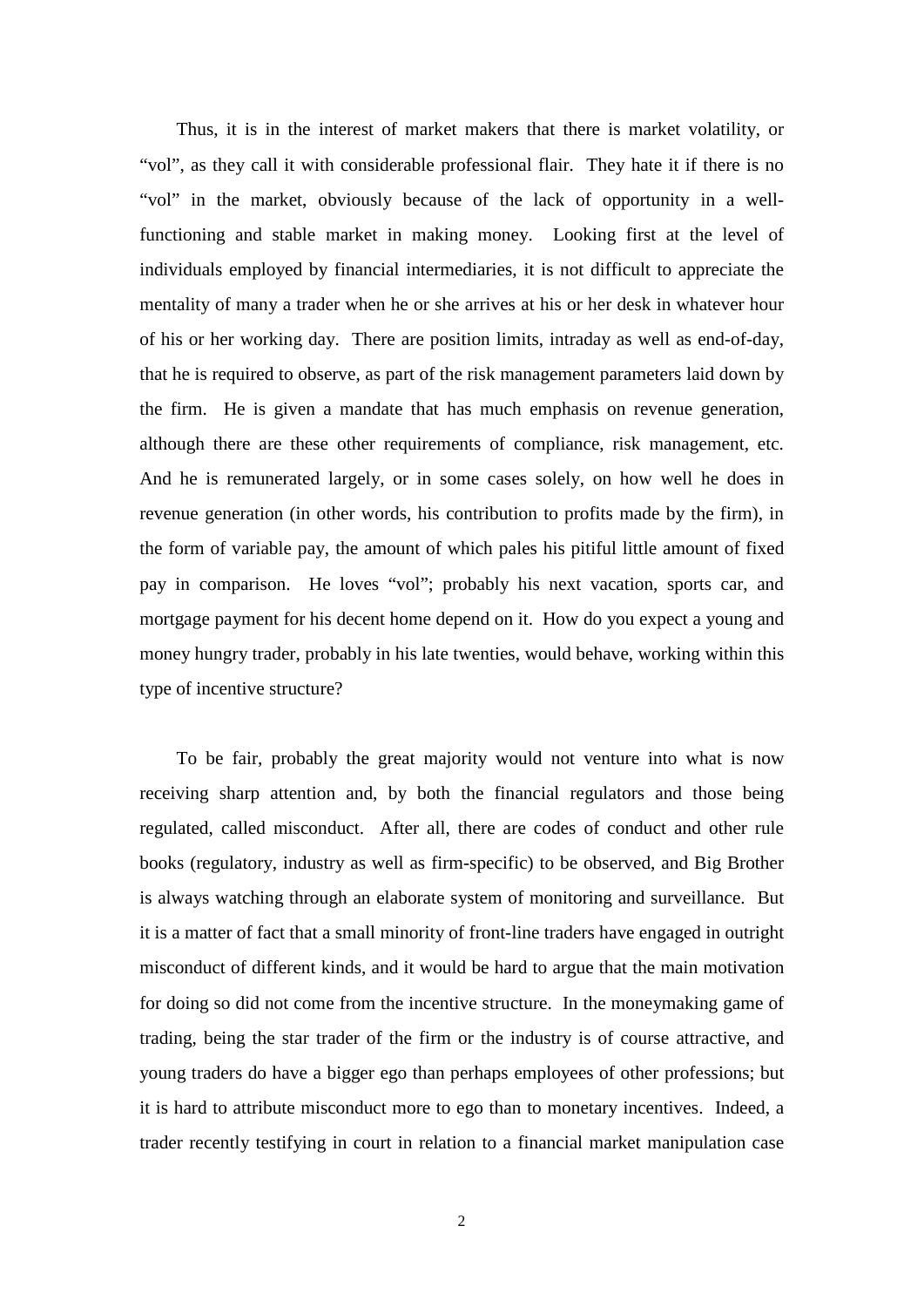Thus, it is in the interest of market makers that there is market volatility, or "vol", as they call it with considerable professional flair. They hate it if there is no "vol" in the market, obviously because of the lack of opportunity in a wellfunctioning and stable market in making money. Looking first at the level of individuals employed by financial intermediaries, it is not difficult to appreciate the mentality of many a trader when he or she arrives at his or her desk in whatever hour of his or her working day. There are position limits, intraday as well as end-of-day, that he is required to observe, as part of the risk management parameters laid down by the firm. He is given a mandate that has much emphasis on revenue generation, although there are these other requirements of compliance, risk management, etc. And he is remunerated largely, or in some cases solely, on how well he does in revenue generation (in other words, his contribution to profits made by the firm), in the form of variable pay, the amount of which pales his pitiful little amount of fixed pay in comparison. He loves "vol"; probably his next vacation, sports car, and mortgage payment for his decent home depend on it. How do you expect a young and money hungry trader, probably in his late twenties, would behave, working within this type of incentive structure?

To be fair, probably the great majority would not venture into what is now receiving sharp attention and, by both the financial regulators and those being regulated, called misconduct. After all, there are codes of conduct and other rule books (regulatory, industry as well as firm-specific) to be observed, and Big Brother is always watching through an elaborate system of monitoring and surveillance. But it is a matter of fact that a small minority of front-line traders have engaged in outright misconduct of different kinds, and it would be hard to argue that the main motivation for doing so did not come from the incentive structure. In the moneymaking game of trading, being the star trader of the firm or the industry is of course attractive, and young traders do have a bigger ego than perhaps employees of other professions; but it is hard to attribute misconduct more to ego than to monetary incentives. Indeed, a trader recently testifying in court in relation to a financial market manipulation case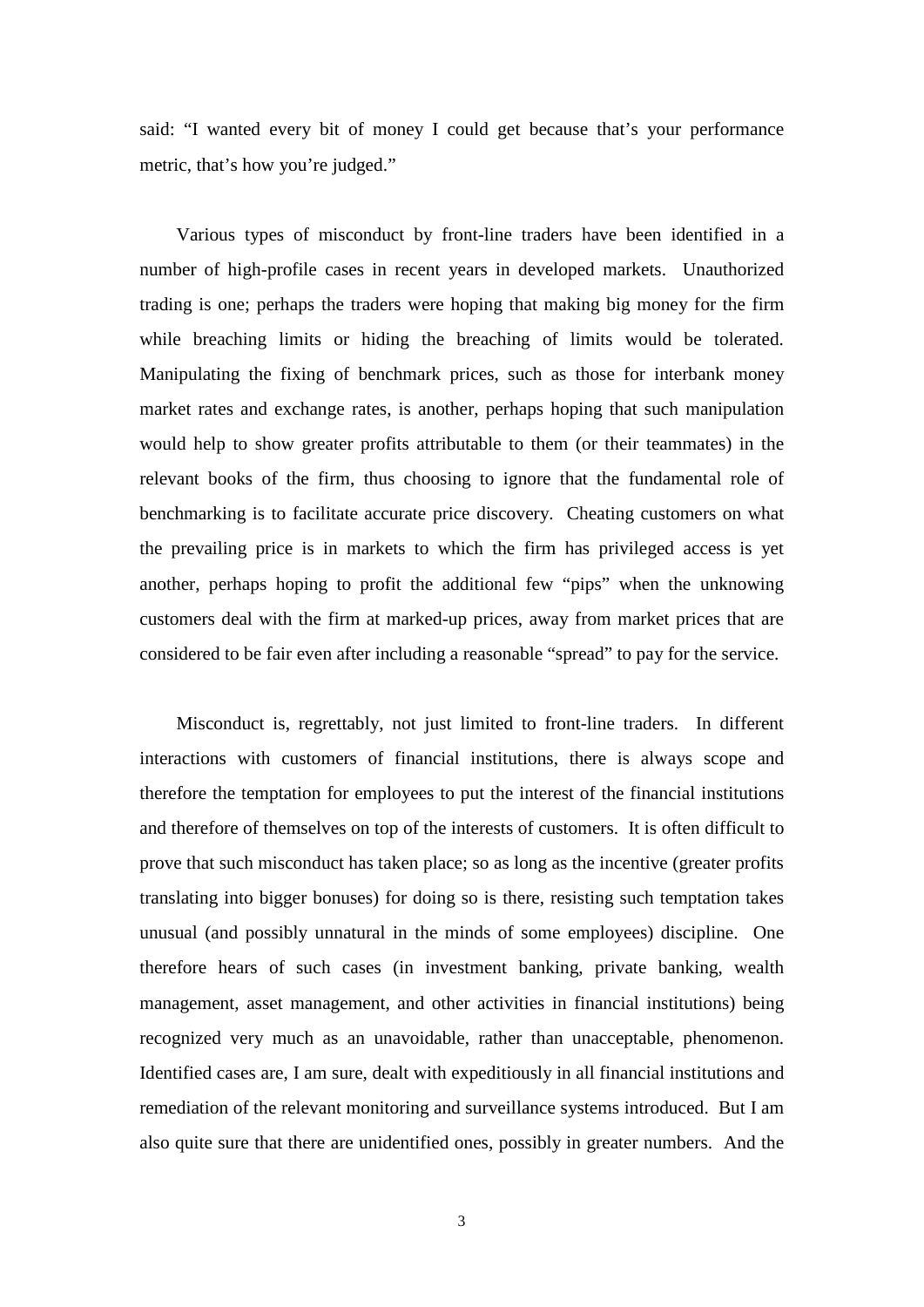said: "I wanted every bit of money I could get because that's your performance metric, that's how you're judged."

Various types of misconduct by front-line traders have been identified in a number of high-profile cases in recent years in developed markets. Unauthorized trading is one; perhaps the traders were hoping that making big money for the firm while breaching limits or hiding the breaching of limits would be tolerated. Manipulating the fixing of benchmark prices, such as those for interbank money market rates and exchange rates, is another, perhaps hoping that such manipulation would help to show greater profits attributable to them (or their teammates) in the relevant books of the firm, thus choosing to ignore that the fundamental role of benchmarking is to facilitate accurate price discovery. Cheating customers on what the prevailing price is in markets to which the firm has privileged access is yet another, perhaps hoping to profit the additional few "pips" when the unknowing customers deal with the firm at marked-up prices, away from market prices that are considered to be fair even after including a reasonable "spread" to pay for the service.

Misconduct is, regrettably, not just limited to front-line traders. In different interactions with customers of financial institutions, there is always scope and therefore the temptation for employees to put the interest of the financial institutions and therefore of themselves on top of the interests of customers. It is often difficult to prove that such misconduct has taken place; so as long as the incentive (greater profits translating into bigger bonuses) for doing so is there, resisting such temptation takes unusual (and possibly unnatural in the minds of some employees) discipline. One therefore hears of such cases (in investment banking, private banking, wealth management, asset management, and other activities in financial institutions) being recognized very much as an unavoidable, rather than unacceptable, phenomenon. Identified cases are, I am sure, dealt with expeditiously in all financial institutions and remediation of the relevant monitoring and surveillance systems introduced. But I am also quite sure that there are unidentified ones, possibly in greater numbers. And the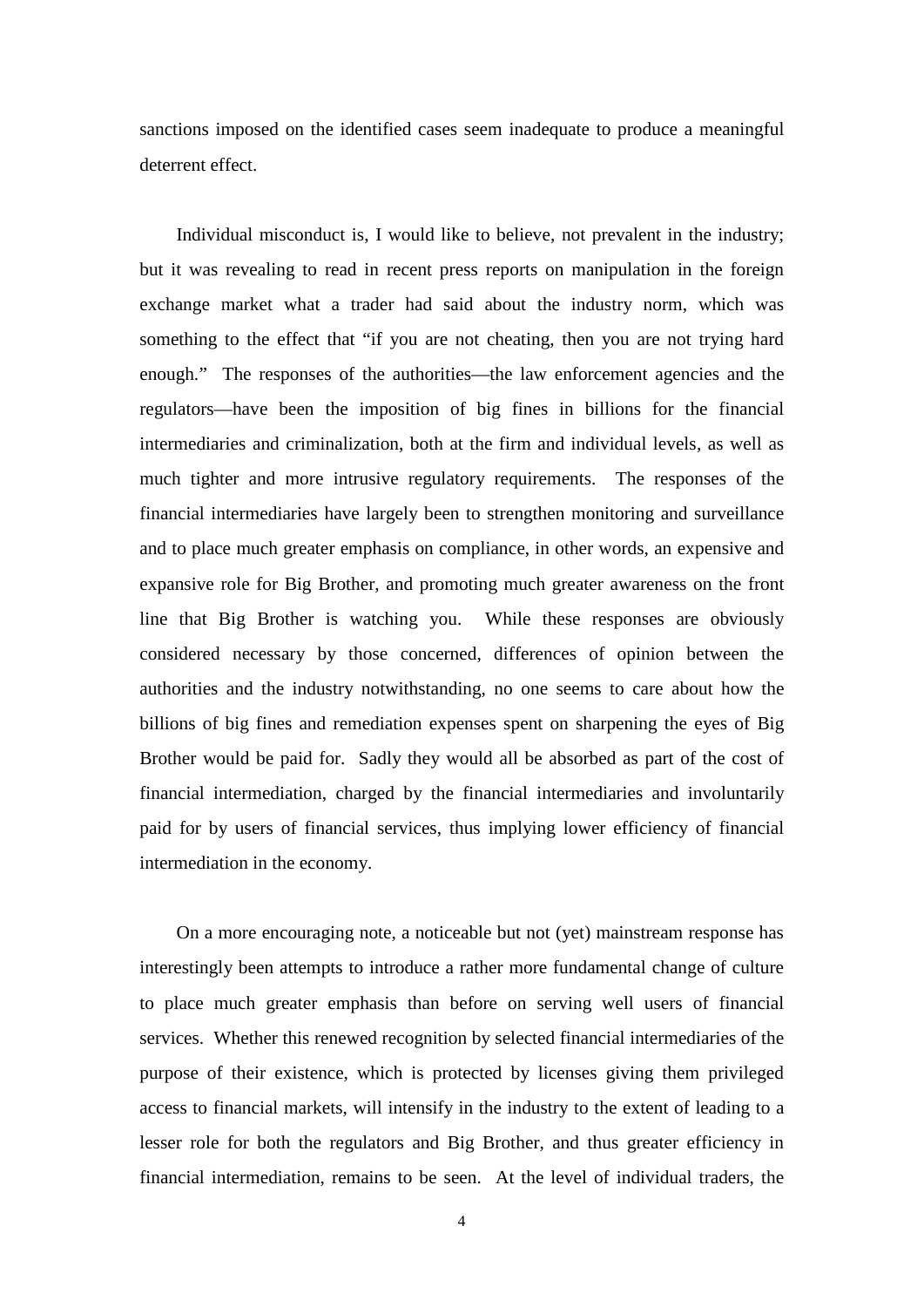sanctions imposed on the identified cases seem inadequate to produce a meaningful deterrent effect.

Individual misconduct is, I would like to believe, not prevalent in the industry; but it was revealing to read in recent press reports on manipulation in the foreign exchange market what a trader had said about the industry norm, which was something to the effect that "if you are not cheating, then you are not trying hard enough." The responses of the authorities—the law enforcement agencies and the regulators—have been the imposition of big fines in billions for the financial intermediaries and criminalization, both at the firm and individual levels, as well as much tighter and more intrusive regulatory requirements. The responses of the financial intermediaries have largely been to strengthen monitoring and surveillance and to place much greater emphasis on compliance, in other words, an expensive and expansive role for Big Brother, and promoting much greater awareness on the front line that Big Brother is watching you. While these responses are obviously considered necessary by those concerned, differences of opinion between the authorities and the industry notwithstanding, no one seems to care about how the billions of big fines and remediation expenses spent on sharpening the eyes of Big Brother would be paid for. Sadly they would all be absorbed as part of the cost of financial intermediation, charged by the financial intermediaries and involuntarily paid for by users of financial services, thus implying lower efficiency of financial intermediation in the economy.

On a more encouraging note, a noticeable but not (yet) mainstream response has interestingly been attempts to introduce a rather more fundamental change of culture to place much greater emphasis than before on serving well users of financial services. Whether this renewed recognition by selected financial intermediaries of the purpose of their existence, which is protected by licenses giving them privileged access to financial markets, will intensify in the industry to the extent of leading to a lesser role for both the regulators and Big Brother, and thus greater efficiency in financial intermediation, remains to be seen. At the level of individual traders, the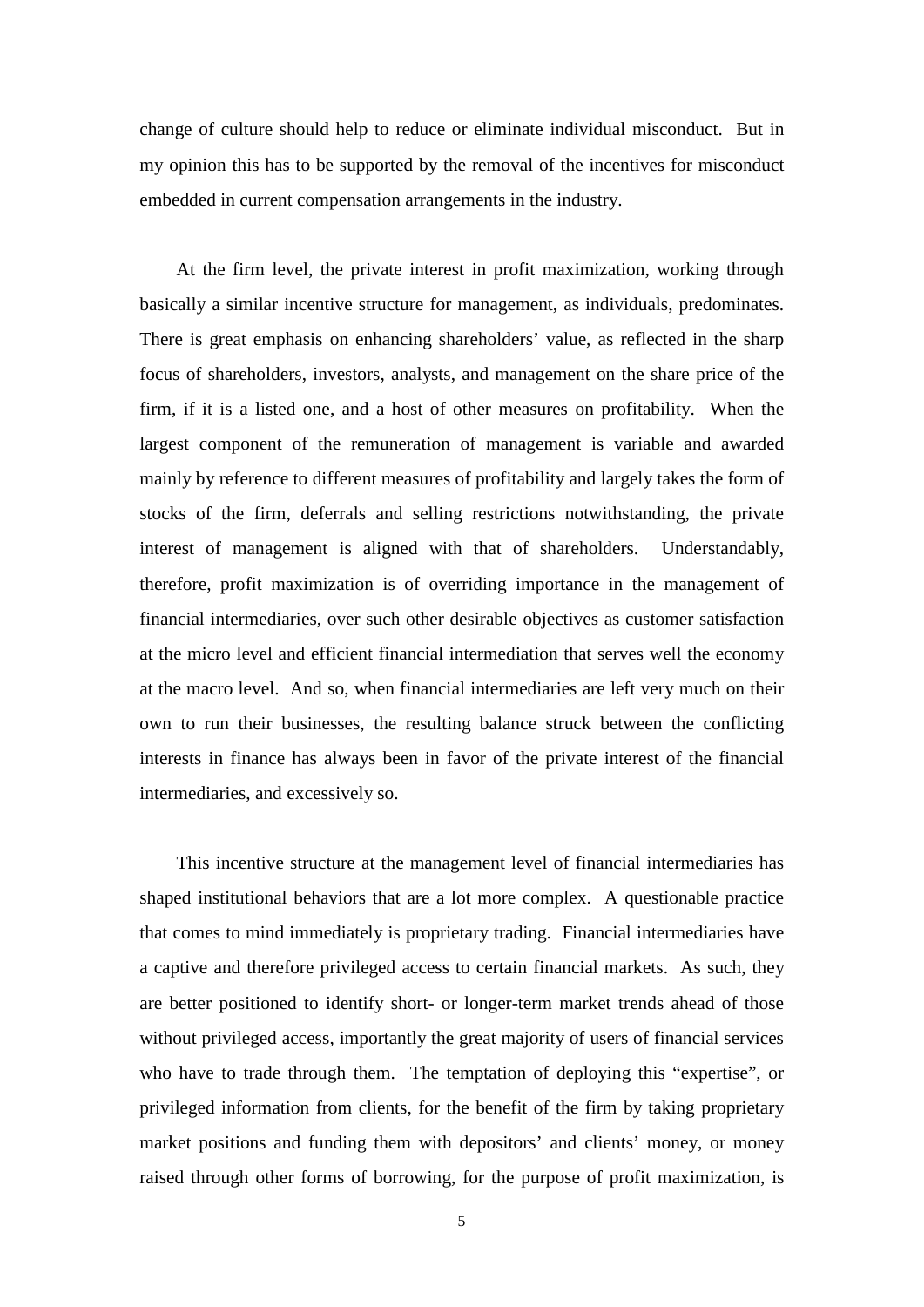change of culture should help to reduce or eliminate individual misconduct. But in my opinion this has to be supported by the removal of the incentives for misconduct embedded in current compensation arrangements in the industry.

At the firm level, the private interest in profit maximization, working through basically a similar incentive structure for management, as individuals, predominates. There is great emphasis on enhancing shareholders' value, as reflected in the sharp focus of shareholders, investors, analysts, and management on the share price of the firm, if it is a listed one, and a host of other measures on profitability. When the largest component of the remuneration of management is variable and awarded mainly by reference to different measures of profitability and largely takes the form of stocks of the firm, deferrals and selling restrictions notwithstanding, the private interest of management is aligned with that of shareholders. Understandably, therefore, profit maximization is of overriding importance in the management of financial intermediaries, over such other desirable objectives as customer satisfaction at the micro level and efficient financial intermediation that serves well the economy at the macro level. And so, when financial intermediaries are left very much on their own to run their businesses, the resulting balance struck between the conflicting interests in finance has always been in favor of the private interest of the financial intermediaries, and excessively so.

This incentive structure at the management level of financial intermediaries has shaped institutional behaviors that are a lot more complex. A questionable practice that comes to mind immediately is proprietary trading. Financial intermediaries have a captive and therefore privileged access to certain financial markets. As such, they are better positioned to identify short- or longer-term market trends ahead of those without privileged access, importantly the great majority of users of financial services who have to trade through them. The temptation of deploying this "expertise", or privileged information from clients, for the benefit of the firm by taking proprietary market positions and funding them with depositors' and clients' money, or money raised through other forms of borrowing, for the purpose of profit maximization, is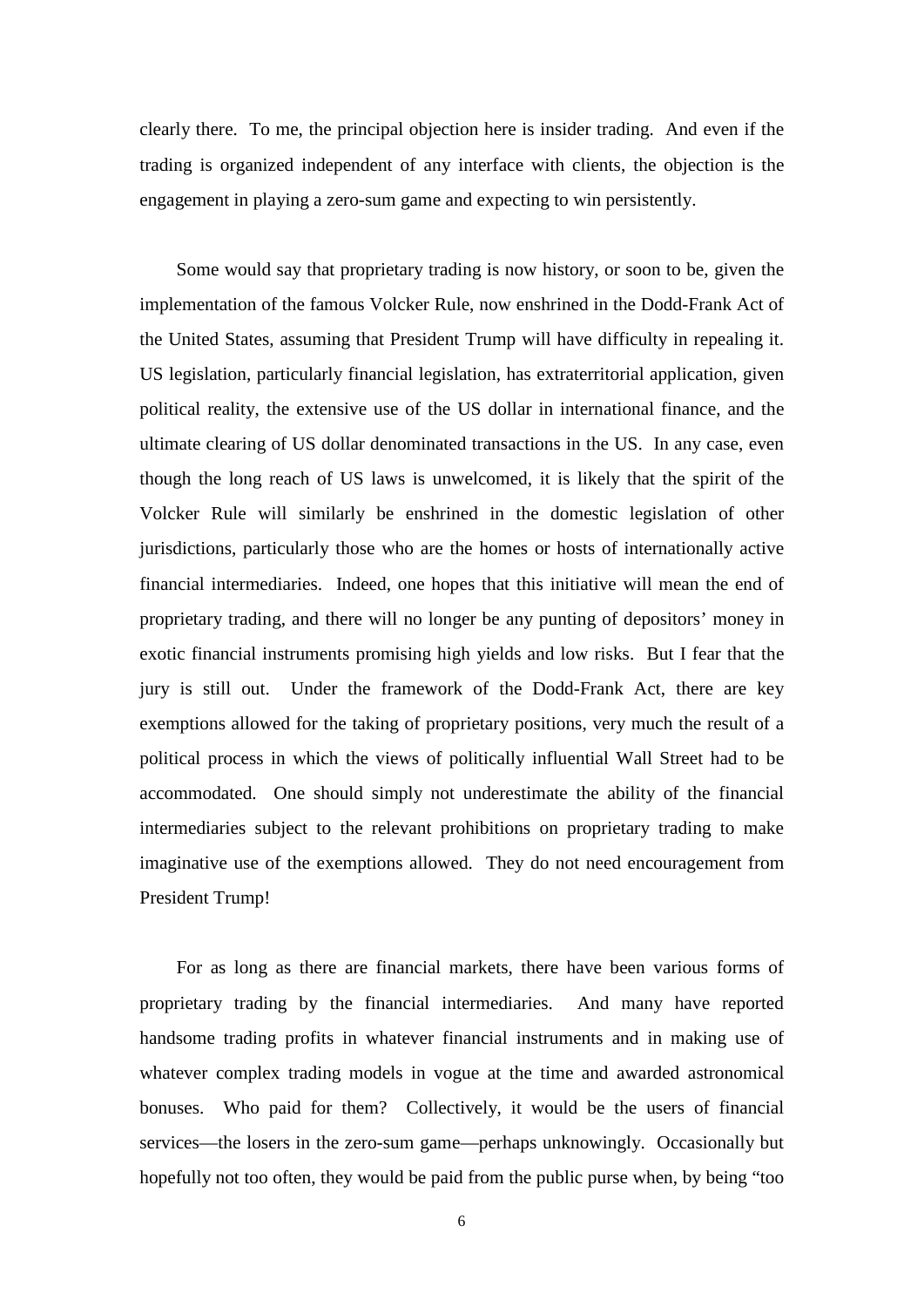clearly there. To me, the principal objection here is insider trading. And even if the trading is organized independent of any interface with clients, the objection is the engagement in playing a zero-sum game and expecting to win persistently.

Some would say that proprietary trading is now history, or soon to be, given the implementation of the famous Volcker Rule, now enshrined in the Dodd-Frank Act of the United States, assuming that President Trump will have difficulty in repealing it. US legislation, particularly financial legislation, has extraterritorial application, given political reality, the extensive use of the US dollar in international finance, and the ultimate clearing of US dollar denominated transactions in the US. In any case, even though the long reach of US laws is unwelcomed, it is likely that the spirit of the Volcker Rule will similarly be enshrined in the domestic legislation of other jurisdictions, particularly those who are the homes or hosts of internationally active financial intermediaries. Indeed, one hopes that this initiative will mean the end of proprietary trading, and there will no longer be any punting of depositors' money in exotic financial instruments promising high yields and low risks. But I fear that the jury is still out. Under the framework of the Dodd-Frank Act, there are key exemptions allowed for the taking of proprietary positions, very much the result of a political process in which the views of politically influential Wall Street had to be accommodated. One should simply not underestimate the ability of the financial intermediaries subject to the relevant prohibitions on proprietary trading to make imaginative use of the exemptions allowed. They do not need encouragement from President Trump!

For as long as there are financial markets, there have been various forms of proprietary trading by the financial intermediaries. And many have reported handsome trading profits in whatever financial instruments and in making use of whatever complex trading models in vogue at the time and awarded astronomical bonuses. Who paid for them? Collectively, it would be the users of financial services—the losers in the zero-sum game—perhaps unknowingly. Occasionally but hopefully not too often, they would be paid from the public purse when, by being "too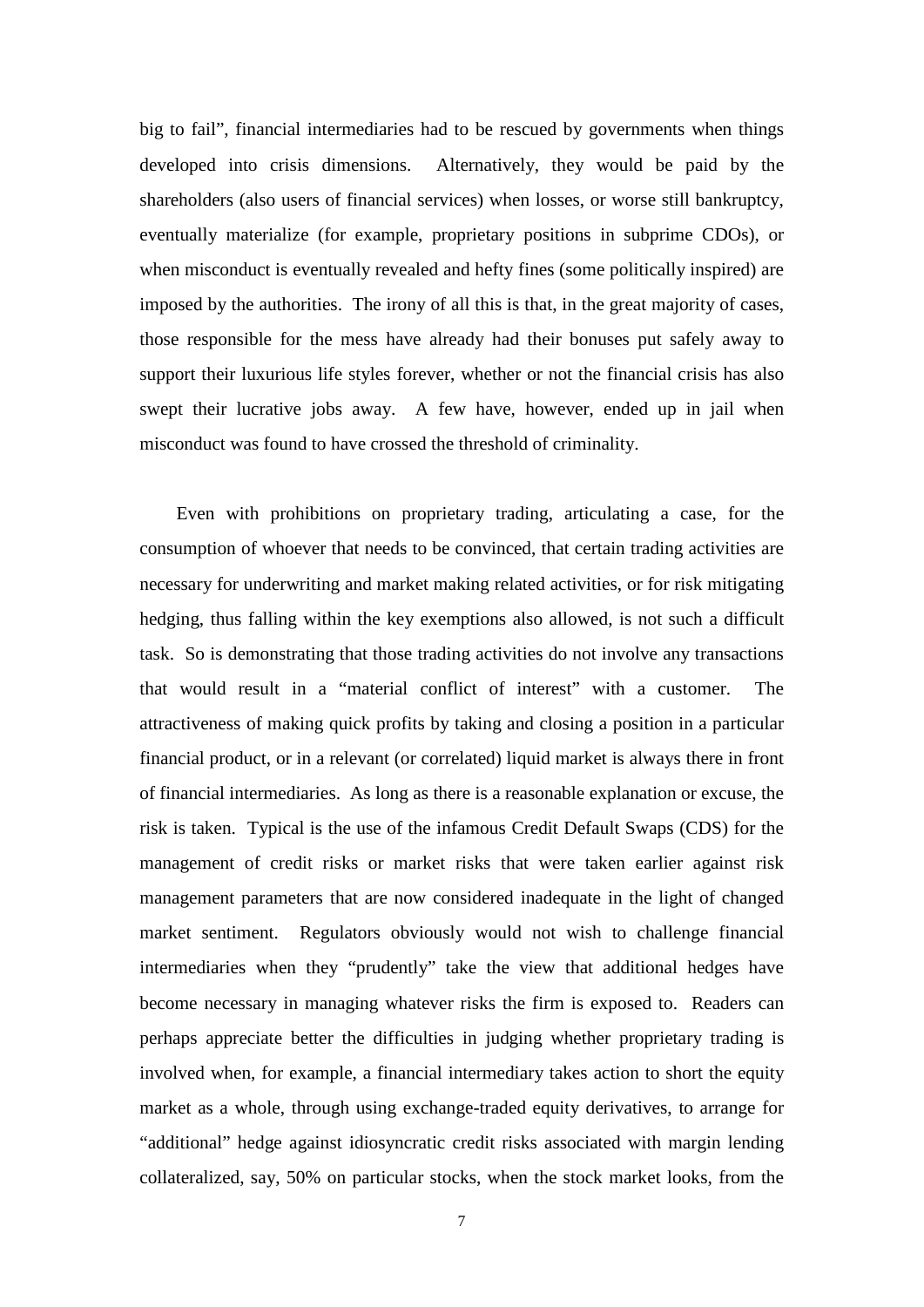big to fail", financial intermediaries had to be rescued by governments when things developed into crisis dimensions. Alternatively, they would be paid by the shareholders (also users of financial services) when losses, or worse still bankruptcy, eventually materialize (for example, proprietary positions in subprime CDOs), or when misconduct is eventually revealed and hefty fines (some politically inspired) are imposed by the authorities. The irony of all this is that, in the great majority of cases, those responsible for the mess have already had their bonuses put safely away to support their luxurious life styles forever, whether or not the financial crisis has also swept their lucrative jobs away. A few have, however, ended up in jail when misconduct was found to have crossed the threshold of criminality.

Even with prohibitions on proprietary trading, articulating a case, for the consumption of whoever that needs to be convinced, that certain trading activities are necessary for underwriting and market making related activities, or for risk mitigating hedging, thus falling within the key exemptions also allowed, is not such a difficult task. So is demonstrating that those trading activities do not involve any transactions that would result in a "material conflict of interest" with a customer. The attractiveness of making quick profits by taking and closing a position in a particular financial product, or in a relevant (or correlated) liquid market is always there in front of financial intermediaries. As long as there is a reasonable explanation or excuse, the risk is taken. Typical is the use of the infamous Credit Default Swaps (CDS) for the management of credit risks or market risks that were taken earlier against risk management parameters that are now considered inadequate in the light of changed market sentiment. Regulators obviously would not wish to challenge financial intermediaries when they "prudently" take the view that additional hedges have become necessary in managing whatever risks the firm is exposed to. Readers can perhaps appreciate better the difficulties in judging whether proprietary trading is involved when, for example, a financial intermediary takes action to short the equity market as a whole, through using exchange-traded equity derivatives, to arrange for "additional" hedge against idiosyncratic credit risks associated with margin lending collateralized, say, 50% on particular stocks, when the stock market looks, from the